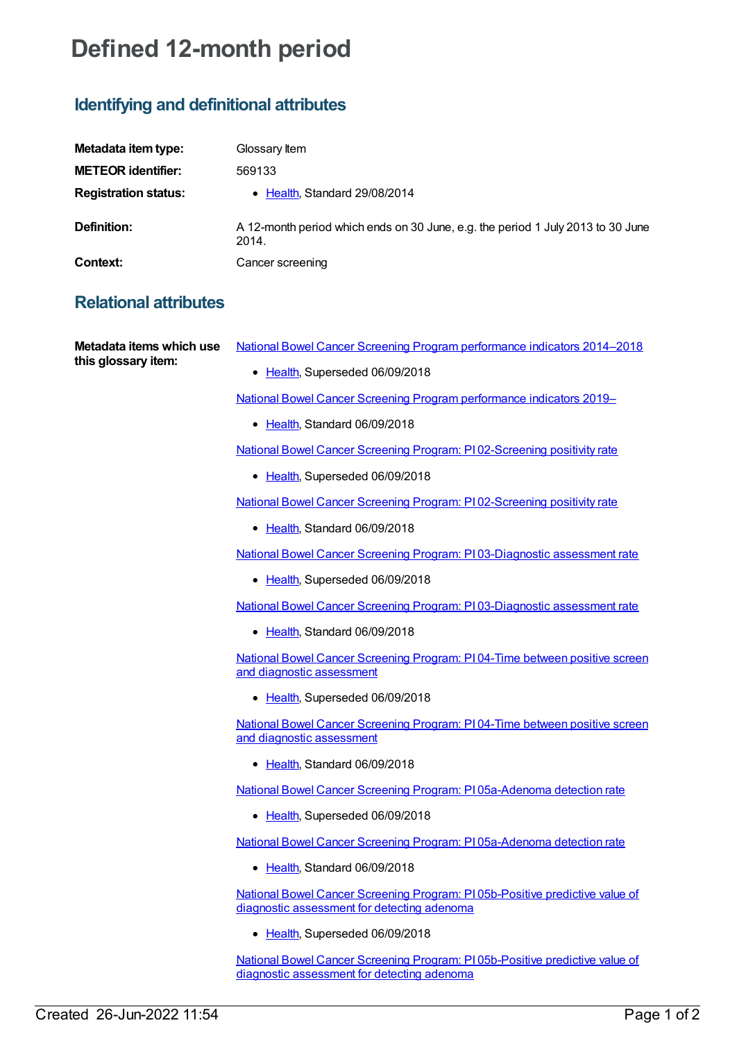## **Defined 12-month period**

## **Identifying and definitional attributes**

| Metadata item type:         | Glossary Item                                                                            |
|-----------------------------|------------------------------------------------------------------------------------------|
| <b>METEOR identifier:</b>   | 569133                                                                                   |
| <b>Registration status:</b> | • Health, Standard 29/08/2014                                                            |
| Definition:                 | A 12-month period which ends on 30 June, e.g. the period 1 July 2013 to 30 June<br>2014. |
| Context:                    | Cancer screening                                                                         |

## **Relational attributes**

**Metadata items which use this glossary item:**

- National Bowel Cancer Screening Program [performance](https://meteor.aihw.gov.au/content/533361) indicators 2014–2018
	- [Health](https://meteor.aihw.gov.au/RegistrationAuthority/12), Superseded 06/09/2018

National Bowel Cancer Screening Program [performance](https://meteor.aihw.gov.au/content/694151) indicators 2019–

• [Health](https://meteor.aihw.gov.au/RegistrationAuthority/12), Standard 06/09/2018

National Bowel Cancer Screening Program: PI [02-Screening](https://meteor.aihw.gov.au/content/533358) positivity rate

• [Health](https://meteor.aihw.gov.au/RegistrationAuthority/12), Superseded 06/09/2018

National Bowel Cancer Screening Program: PI [02-Screening](https://meteor.aihw.gov.au/content/694158) positivity rate

● [Health](https://meteor.aihw.gov.au/RegistrationAuthority/12), Standard 06/09/2018

National Bowel Cancer Screening Program: PI [03-Diagnostic](https://meteor.aihw.gov.au/content/533365) assessment rate

• [Health](https://meteor.aihw.gov.au/RegistrationAuthority/12), Superseded 06/09/2018

National Bowel Cancer Screening Program: PI [03-Diagnostic](https://meteor.aihw.gov.au/content/694162) assessment rate

• [Health](https://meteor.aihw.gov.au/RegistrationAuthority/12), Standard 06/09/2018

National Bowel Cancer Screening Program: PI 04-Time between positive screen and diagnostic [assessment](https://meteor.aihw.gov.au/content/533368)

• [Health](https://meteor.aihw.gov.au/RegistrationAuthority/12), Superseded 06/09/2018

National Bowel Cancer Screening Program: PI 04-Time between positive screen and diagnostic [assessment](https://meteor.aihw.gov.au/content/694168)

• [Health](https://meteor.aihw.gov.au/RegistrationAuthority/12), Standard 06/09/2018

National Bowel Cancer Screening Program: PI [05a-Adenoma](https://meteor.aihw.gov.au/content/533371) detection rate

• [Health](https://meteor.aihw.gov.au/RegistrationAuthority/12), Superseded 06/09/2018

National Bowel Cancer Screening Program: PI [05a-Adenoma](https://meteor.aihw.gov.au/content/694172) detection rate

• [Health](https://meteor.aihw.gov.au/RegistrationAuthority/12), Standard 06/09/2018

National Bowel Cancer Screening Program: PI [05b-Positive](https://meteor.aihw.gov.au/content/533374) predictive value of diagnostic assessment for detecting adenoma

• [Health](https://meteor.aihw.gov.au/RegistrationAuthority/12), Superseded 06/09/2018

National Bowel Cancer Screening Program: PI [05b-Positive](https://meteor.aihw.gov.au/content/694174) predictive value of diagnostic assessment for detecting adenoma